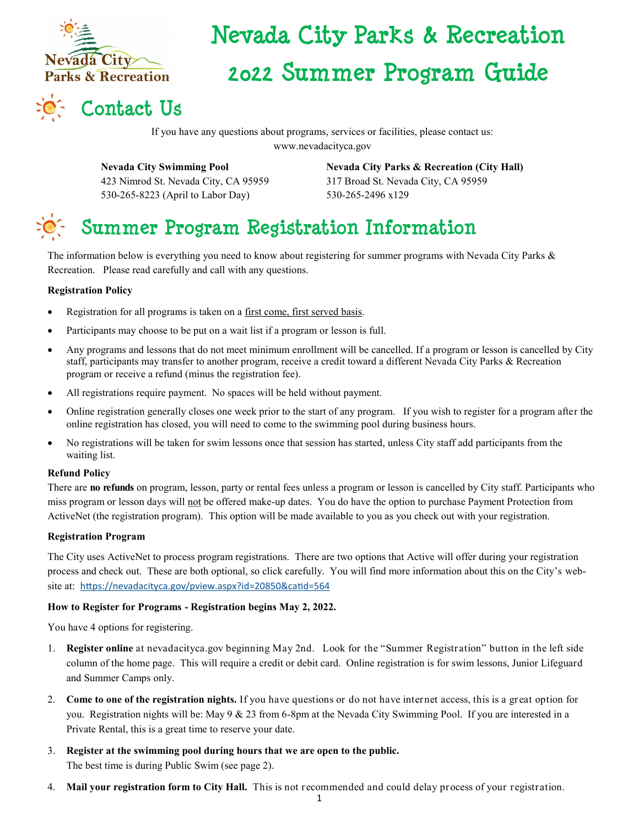

**Contact Us** 

# **Nevada City Parks & Recreation 2022 Summer Program Guide**

If you have any questions about programs, services or facilities, please contact us: www.nevadacityca.gov

423 Nimrod St. Nevada City, CA 95959 317 Broad St. Nevada City, CA 95959 530-265-8223 (April to Labor Day) 530-265-2496 x129

**Nevada City Swimming Pool Nevada City Parks & Recreation (City Hall)**

## **Summer Program Registration Information**

The information below is everything you need to know about registering for summer programs with Nevada City Parks & Recreation. Please read carefully and call with any questions.

### **Registration Policy**

- Registration for all programs is taken on a <u>first come, first served basis</u>.
- Participants may choose to be put on a wait list if a program or lesson is full.
- Any programs and lessons that do not meet minimum enrollment will be cancelled. If a program or lesson is cancelled by City staff, participants may transfer to another program, receive a credit toward a different Nevada City Parks & Recreation program or receive a refund (minus the registration fee).
- All registrations require payment. No spaces will be held without payment.
- Online registration generally closes one week prior to the start of any program. If you wish to register for a program after the online registration has closed, you will need to come to the swimming pool during business hours.
- No registrations will be taken for swim lessons once that session has started, unless City staff add participants from the waiting list.

### **Refund Policy**

There are **no refunds** on program, lesson, party or rental fees unless a program or lesson is cancelled by City staff. Participants who miss program or lesson days will not be offered make-up dates. You do have the option to purchase Payment Protection from ActiveNet (the registration program). This option will be made available to you as you check out with your registration.

#### **Registration Program**

The City uses ActiveNet to process program registrations. There are two options that Active will offer during your registration process and check out. These are both optional, so click carefully. You will find more information about this on the City's website at: <https://nevadacityca.gov/pview.aspx?id=20850&catid=564>

### **How to Register for Programs - Registration begins May 2, 2022.**

You have 4 options for registering.

- 1. **Register online** at nevadacityca.gov beginning May 2nd. Look for the "Summer Registration" button in the left side column of the home page. This will require a credit or debit card. Online registration is for swim lessons, Junior Lifeguard and Summer Camps only.
- 2. **Come to one of the registration nights.** If you have questions or do not have internet access, this is a great option for you. Registration nights will be: May 9 & 23 from 6-8pm at the Nevada City Swimming Pool. If you are interested in a Private Rental, this is a great time to reserve your date.
- 3. **Register at the swimming pool during hours that we are open to the public.**  The best time is during Public Swim (see page 2).
- 4. **Mail your registration form to City Hall.** This is not recommended and could delay process of your registration.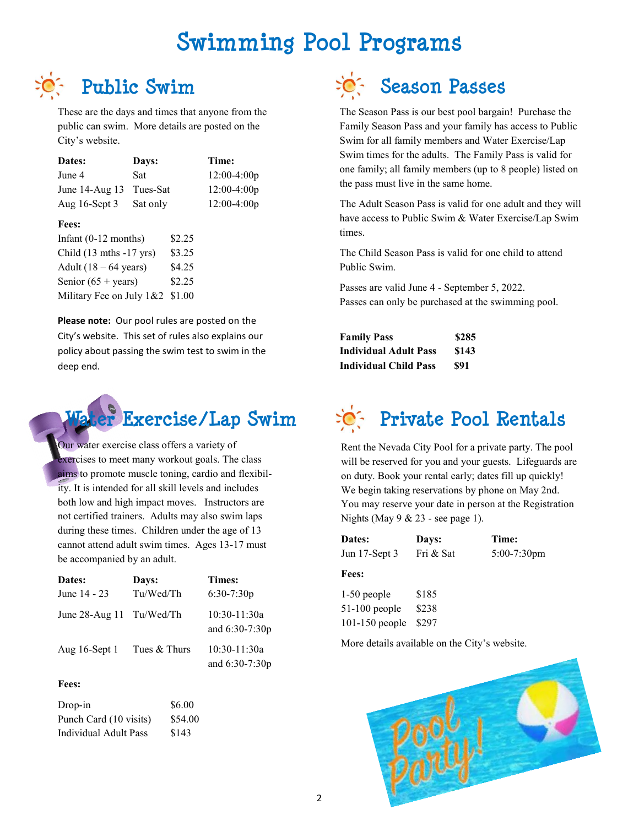# **Swimming Pool Programs**



These are the days and times that anyone from the public can swim. More details are posted on the City's website.

| Dates:                                     | Days:    |        | Time:         |
|--------------------------------------------|----------|--------|---------------|
| June 4                                     | Sat      |        | $12:00-4:00p$ |
| June 14-Aug 13                             | Tues-Sat |        | $12:00-4:00p$ |
| Aug 16-Sept 3                              | Sat only |        | 12:00-4:00p   |
| <b>Fees:</b>                               |          |        |               |
| Infant $(0-12$ months)                     |          | \$2.25 |               |
| Child $(13 \text{ mths } -17 \text{ yrs})$ |          | \$3.25 |               |
| Adult $(18 - 64 \text{ years})$            |          | \$4.25 |               |
| Senior $(65 + \text{years})$               |          | \$2.25 |               |
| Military Fee on July $1&&2$                |          | \$1.00 |               |

**Please note:** Our pool rules are posted on the City's website. This set of rules also explains our policy about passing the swim test to swim in the deep end.



Our water exercise class offers a variety of exercises to meet many workout goals. The class aims to promote muscle toning, cardio and flexibility. It is intended for all skill levels and includes both low and high impact moves. Instructors are not certified trainers. Adults may also swim laps during these times. Children under the age of 13 cannot attend adult swim times. Ages 13-17 must be accompanied by an adult.

| Dates:                   | Days:        | Times:                             |
|--------------------------|--------------|------------------------------------|
| June 14 - 23             | Tu/Wed/Th    | $6:30-7:30p$                       |
| June 28-Aug 11 Tu/Wed/Th |              | $10:30 - 11:30a$<br>and 6:30-7:30p |
| Aug 16-Sept 1            | Tues & Thurs | $10:30 - 11:30a$<br>and 6:30-7:30p |

#### **Fees:**

| Drop-in                      | \$6.00  |
|------------------------------|---------|
| Punch Card (10 visits)       | \$54.00 |
| <b>Individual Adult Pass</b> | \$143   |



The Season Pass is our best pool bargain! Purchase the Family Season Pass and your family has access to Public Swim for all family members and Water Exercise/Lap Swim times for the adults. The Family Pass is valid for one family; all family members (up to 8 people) listed on the pass must live in the same home.

The Adult Season Pass is valid for one adult and they will have access to Public Swim & Water Exercise/Lap Swim times.

The Child Season Pass is valid for one child to attend Public Swim.

Passes are valid June 4 - September 5, 2022. Passes can only be purchased at the swimming pool.

| <b>Family Pass</b>           | \$285 |
|------------------------------|-------|
| Individual Adult Pass        | \$143 |
| <b>Individual Child Pass</b> | \$91  |



Rent the Nevada City Pool for a private party. The pool will be reserved for you and your guests. Lifeguards are on duty. Book your rental early; dates fill up quickly! We begin taking reservations by phone on May 2nd. You may reserve your date in person at the Registration Nights (May  $9 & 23$  - see page 1).

| <b>Dates:</b> | Days:     | Time:          |
|---------------|-----------|----------------|
| Jun 17-Sept 3 | Fri & Sat | $5:00-7:30$ pm |

#### **Fees:**

| $1-50$ people  | \$185 |
|----------------|-------|
| 51-100 people  | \$238 |
| 101-150 people | \$297 |

More details available on the City's website.

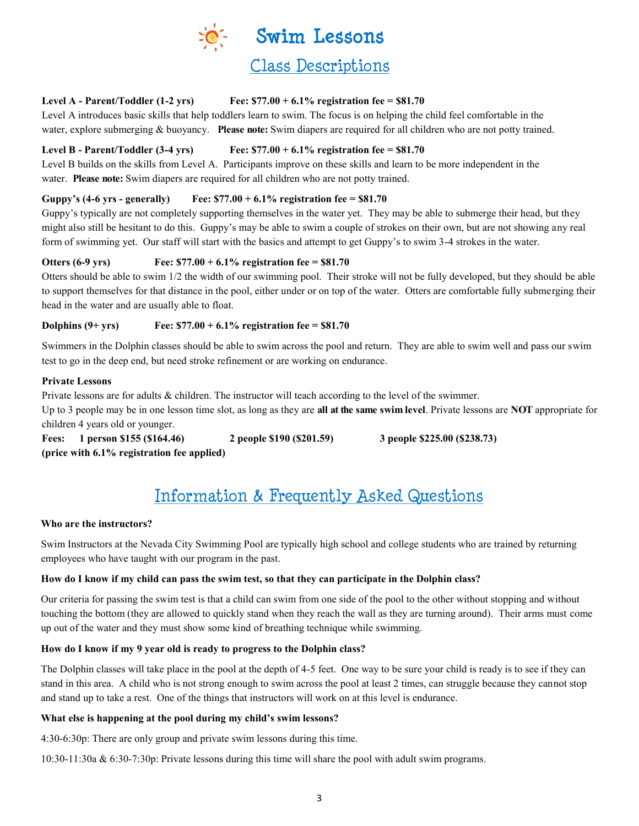

#### **Level A - Parent/Toddler (1-2 yrs) Fee: \$77.00 + 6.1% registration fee = \$81.70**

Level A introduces basic skills that help toddlers learn to swim. The focus is on helping the child feel comfortable in the water, explore submerging & buoyancy. **Please note:** Swim diapers are required for all children who are not potty trained.

#### **Level B - Parent/Toddler (3-4 yrs) Fee: \$77.00 + 6.1% registration fee = \$81.70**

Level B builds on the skills from Level A. Participants improve on these skills and learn to be more independent in the water. **Please note:** Swim diapers are required for all children who are not potty trained.

#### **Guppy's (4-6 yrs - generally) Fee: \$77.00 + 6.1% registration fee = \$81.70**

Guppy's typically are not completely supporting themselves in the water yet. They may be able to submerge their head, but they might also still be hesitant to do this. Guppy's may be able to swim a couple of strokes on their own, but are not showing any real form of swimming yet. Our staff will start with the basics and attempt to get Guppy's to swim 3-4 strokes in the water.

#### **Otters (6-9 yrs) Fee: \$77.00 + 6.1% registration fee = \$81.70**

Otters should be able to swim 1/2 the width of our swimming pool. Their stroke will not be fully developed, but they should be able to support themselves for that distance in the pool, either under or on top of the water. Otters are comfortable fully submerging their head in the water and are usually able to float.

#### **Dolphins (9+ yrs) Fee: \$77.00 + 6.1% registration fee = \$81.70**

Swimmers in the Dolphin classes should be able to swim across the pool and return. They are able to swim well and pass our swim test to go in the deep end, but need stroke refinement or are working on endurance.

#### **Private Lessons**

Private lessons are for adults & children. The instructor will teach according to the level of the swimmer.

Up to 3 people may be in one lesson time slot, as long as they are **all at the same swim level**. Private lessons are **NOT** appropriate for children 4 years old or younger.

**Fees: 1 person \$155 (\$164.46) 2 people \$190 (\$201.59) 3 people \$225.00 (\$238.73) (price with 6.1% registration fee applied)**

### Information & Frequently Asked Questions

#### **Who are the instructors?**

Swim Instructors at the Nevada City Swimming Pool are typically high school and college students who are trained by returning employees who have taught with our program in the past.

#### **How do I know if my child can pass the swim test, so that they can participate in the Dolphin class?**

Our criteria for passing the swim test is that a child can swim from one side of the pool to the other without stopping and without touching the bottom (they are allowed to quickly stand when they reach the wall as they are turning around). Their arms must come up out of the water and they must show some kind of breathing technique while swimming.

#### **How do I know if my 9 year old is ready to progress to the Dolphin class?**

The Dolphin classes will take place in the pool at the depth of 4-5 feet. One way to be sure your child is ready is to see if they can stand in this area. A child who is not strong enough to swim across the pool at least 2 times, can struggle because they cannot stop and stand up to take a rest. One of the things that instructors will work on at this level is endurance.

#### **What else is happening at the pool during my child's swim lessons?**

4:30-6:30p: There are only group and private swim lessons during this time.

10:30-11:30a & 6:30-7:30p: Private lessons during this time will share the pool with adult swim programs.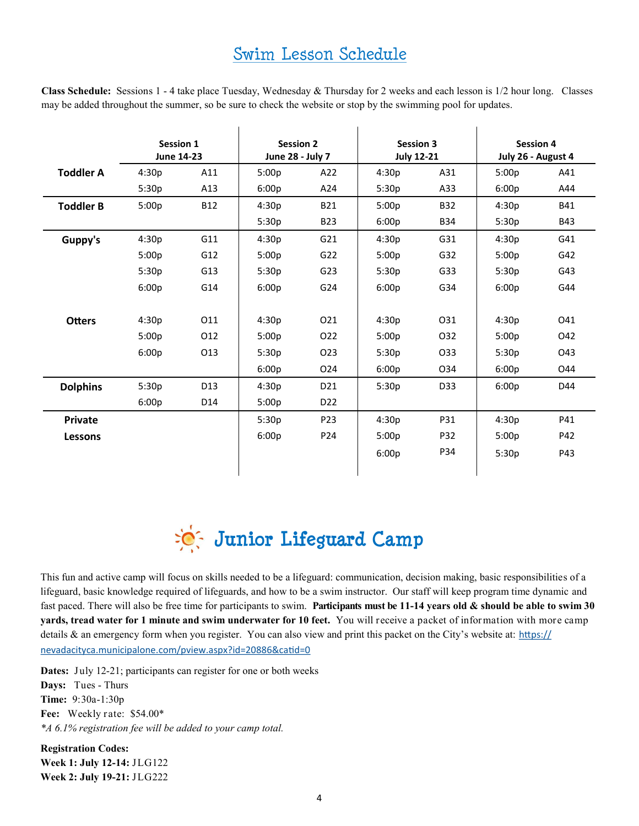### Swim Lesson Schedule

**Class Schedule:** Sessions 1 - 4 take place Tuesday, Wednesday & Thursday for 2 weeks and each lesson is 1/2 hour long. Classes may be added throughout the summer, so be sure to check the website or stop by the swimming pool for updates.

|                  | <b>Session 1</b><br><b>June 14-23</b> |            | <b>Session 2</b><br>June 28 - July 7 |                 | <b>Session 3</b><br><b>July 12-21</b> |            | <b>Session 4</b><br>July 26 - August 4 |            |
|------------------|---------------------------------------|------------|--------------------------------------|-----------------|---------------------------------------|------------|----------------------------------------|------------|
| <b>Toddler A</b> | 4:30p                                 | A11        | 5:00p                                | A22             | 4:30p                                 | A31        | 5:00p                                  | A41        |
|                  | 5:30p                                 | A13        | 6:00p                                | A24             | 5:30p                                 | A33        | 6:00p                                  | A44        |
| <b>Toddler B</b> | 5:00p                                 | <b>B12</b> | 4:30p                                | <b>B21</b>      | 5:00p                                 | <b>B32</b> | 4:30p                                  | <b>B41</b> |
|                  |                                       |            | 5:30p                                | <b>B23</b>      | 6:00p                                 | <b>B34</b> | 5:30p                                  | <b>B43</b> |
| Guppy's          | 4:30p                                 | G11        | 4:30p                                | G21             | 4:30p                                 | G31        | 4:30p                                  | G41        |
|                  | 5:00p                                 | G12        | 5:00p                                | G22             | 5:00p                                 | G32        | 5:00p                                  | G42        |
|                  | 5:30p                                 | G13        | 5:30p                                | G <sub>23</sub> | 5:30p                                 | G33        | 5:30p                                  | G43        |
|                  | 6:00p                                 | G14        | 6:00p                                | G24             | 6:00p                                 | G34        | 6:00p                                  | G44        |
| <b>Otters</b>    | 4:30p                                 | 011        | 4:30p                                | 021             | 4:30p                                 | 031        | 4:30p                                  | 041        |
|                  | 5:00p                                 | 012        | 5:00p                                | 022             | 5:00p                                 | O32        | 5:00p                                  | O42        |
|                  | 6:00p                                 | 013        | 5:30p                                | 023             | 5:30p                                 | O33        | 5:30p                                  | O43        |
|                  |                                       |            | 6:00p                                | O <sub>24</sub> | 6:00p                                 | O34        | 6:00p                                  | O44        |
| <b>Dolphins</b>  | 5:30p                                 | D13        | 4:30p                                | D21             | 5:30p                                 | D33        | 6:00p                                  | D44        |
|                  | 6:00p                                 | D14        | 5:00p                                | D <sub>22</sub> |                                       |            |                                        |            |
| <b>Private</b>   |                                       |            | 5:30p                                | P <sub>23</sub> | 4:30p                                 | P31        | 4:30p                                  | P41        |
| Lessons          |                                       |            | 6:00p                                | P24             | 5:00p                                 | P32        | 5:00p                                  | P42        |
|                  |                                       |            |                                      |                 | 6:00p                                 | P34        | 5:30p                                  | P43        |



This fun and active camp will focus on skills needed to be a lifeguard: communication, decision making, basic responsibilities of a lifeguard, basic knowledge required of lifeguards, and how to be a swim instructor. Our staff will keep program time dynamic and fast paced. There will also be free time for participants to swim. **Participants must be 11-14 years old & should be able to swim 30 yards, tread water for 1 minute and swim underwater for 10 feet.** You will receive a packet of information with more camp details  $\&$  an emergency form when you register. You can also view and print this packet on the City's website at: [https://](https://nevadacityca.municipalone.com/pview.aspx?id=20886&catid=0) [nevadacityca.municipalone.com/pview.aspx?id=20886&catid=0](https://nevadacityca.municipalone.com/pview.aspx?id=20886&catid=0)

**Dates:** July 12-21; participants can register for one or both weeks **Days:** Tues - Thurs **Time:** 9:30a-1:30p **Fee:** Weekly rate: \$54.00\* *\*A 6.1% registration fee will be added to your camp total.*

**Registration Codes: Week 1: July 12-14:** JLG122 **Week 2: July 19-21:** JLG222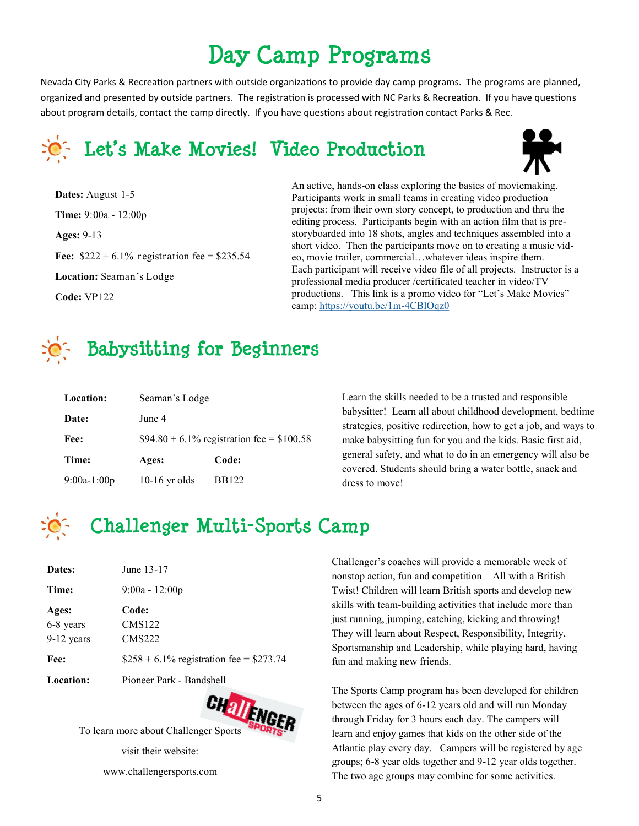# **Day Camp Programs**

Nevada City Parks & Recreation partners with outside organizations to provide day camp programs. The programs are planned, organized and presented by outside partners. The registration is processed with NC Parks & Recreation. If you have questions about program details, contact the camp directly. If you have questions about registration contact Parks & Rec.





Dates: August 1-5 **Time:** 9:00a - 12:00p **Ages:** 9-13 **Fee:** \$222 + 6.1% registration fee = \$235.54 **Location:** Seaman's Lodge **Code:** VP122

An active, hands-on class exploring the basics of moviemaking. Participants work in small teams in creating video production projects: from their own story concept, to production and thru the editing process. Participants begin with an action film that is prestoryboarded into 18 shots, angles and techniques assembled into a short video. Then the participants move on to creating a music video, movie trailer, commercial…whatever ideas inspire them. Each participant will receive video file of all projects. Instructor is a professional media producer /certificated teacher in video/TV productions. This link is a promo video for "Let's Make Movies" camp: [https://youtu.be/1m](https://youtu.be/1m-4CBlOqz0)-4CBlOqz0



### **Babysitting for Beginners**

| Location:     | Seaman's Lodge  |                                             |  |
|---------------|-----------------|---------------------------------------------|--|
| Date:         | June 4          |                                             |  |
| Fee:          |                 | \$94.80 + 6.1% registration fee = $$100.58$ |  |
| Time:         | Ages:           | Code:                                       |  |
| $9:00a-1:00p$ | $10-16$ yr olds | BB122                                       |  |

Learn the skills needed to be a trusted and responsible babysitter! Learn all about childhood development, bedtime strategies, positive redirection, how to get a job, and ways to make babysitting fun for you and the kids. Basic first aid, general safety, and what to do in an emergency will also be covered. Students should bring a water bottle, snack and dress to move!



## **Challenger Multi-Sports Camp**

| Dates:                           | June 13-17                                 |
|----------------------------------|--------------------------------------------|
| Time:                            | $9:00a - 12:00p$                           |
| Ages:<br>6-8 years<br>9-12 years | Code:<br>CMS122<br>CMS222                  |
| Fee:                             | $$258 + 6.1\%$ registration fee = \$273.74 |
| Location:                        | Pioneer Park - Bandshell                   |
|                                  |                                            |



visit their website:

www.challengersports.com

Challenger's coaches will provide a memorable week of nonstop action, fun and competition – All with a British Twist! Children will learn British sports and develop new skills with team-building activities that include more than just running, jumping, catching, kicking and throwing! They will learn about Respect, Responsibility, Integrity, Sportsmanship and Leadership, while playing hard, having fun and making new friends.

The Sports Camp program has been developed for children between the ages of 6-12 years old and will run Monday through Friday for 3 hours each day. The campers will learn and enjoy games that kids on the other side of the Atlantic play every day. Campers will be registered by age groups; 6-8 year olds together and 9-12 year olds together. The two age groups may combine for some activities.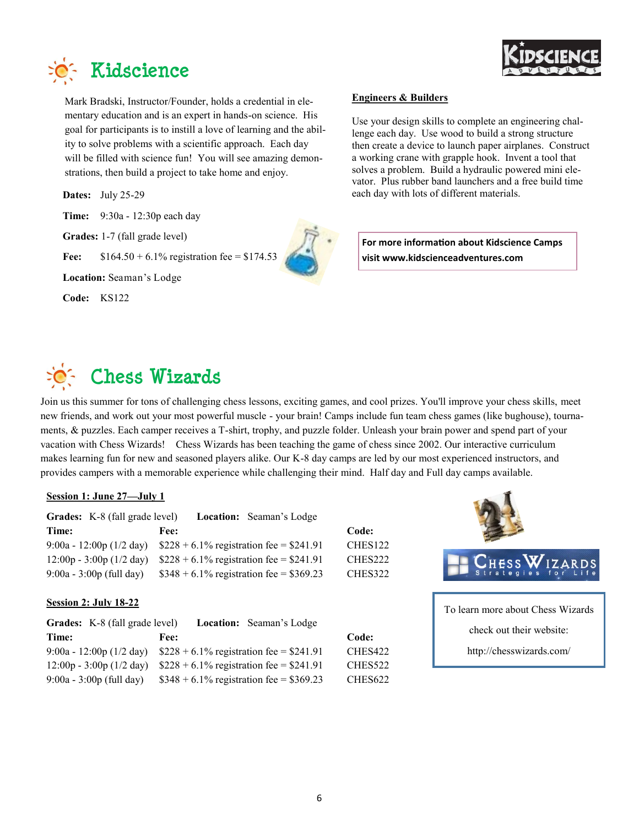



Mark Bradski, Instructor/Founder, holds a credential in elementary education and is an expert in hands-on science. His goal for participants is to instill a love of learning and the ability to solve problems with a scientific approach. Each day will be filled with science fun! You will see amazing demonstrations, then build a project to take home and enjoy.

**Time:** 9:30a - 12:30p each day

**Grades:** 1-7 (fall grade level)

**Fee:**  $$164.50 + 6.1\%$  registration fee = \$174.53

**Location:** Seaman's Lodge

**Code:** KS122



#### **Engineers & Builders**

Use your design skills to complete an engineering challenge each day. Use wood to build a strong structure then create a device to launch paper airplanes. Construct a working crane with grapple hook. Invent a tool that solves a problem. Build a hydraulic powered mini elevator. Plus rubber band launchers and a free build time **Dates:** July 25-29 each day with lots of different materials.

> **For more information about Kidscience Camps visit www.kidscienceadventures.com**



Join us this summer for tons of challenging chess lessons, exciting games, and cool prizes. You'll improve your chess skills, meet new friends, and work out your most powerful muscle - your brain! Camps include fun team chess games (like bughouse), tournaments, & puzzles. Each camper receives a T-shirt, trophy, and puzzle folder. Unleash your brain power and spend part of your vacation with Chess Wizards! Chess Wizards has been teaching the game of chess since 2002. Our interactive curriculum makes learning fun for new and seasoned players alike. Our K-8 day camps are led by our most experienced instructors, and provides campers with a memorable experience while challenging their mind. Half day and Full day camps available.

#### **Session 1: June 27—July 1**

| <b>Grades:</b> K-8 (fall grade level) | <b>Location:</b> Seaman's Lodge            |         |
|---------------------------------------|--------------------------------------------|---------|
| Time:                                 | Fee:                                       | Code:   |
| 9:00a - 12:00p $(1/2 \text{ day})$    | $$228 + 6.1\%$ registration fee = \$241.91 | CHES122 |
| $12:00p - 3:00p (1/2 day)$            | $$228 + 6.1\%$ registration fee = \$241.91 | CHES222 |
| $9:00a - 3:00p$ (full day)            | $$348 + 6.1\%$ registration fee = \$369.23 | CHES322 |

#### **Session 2: July 18-22**

| <b>Grades:</b> K-8 (fall grade level) | <b>Location:</b> Seaman's Lodge            |                     |
|---------------------------------------|--------------------------------------------|---------------------|
| Time:                                 | Fee:                                       | Code:               |
| $9:00a - 12:00p(1/2 day)$             | $$228 + 6.1\%$ registration fee = \$241.91 | CHES422             |
| $12:00p - 3:00p (1/2 day)$            | $$228 + 6.1\%$ registration fee = \$241.91 | CHES <sub>522</sub> |
| $9:00a - 3:00p$ (full day)            | $$348 + 6.1\%$ registration fee = \$369.23 | CHES622             |



To learn more about Chess Wizards check out their website: http://chesswizards.com/